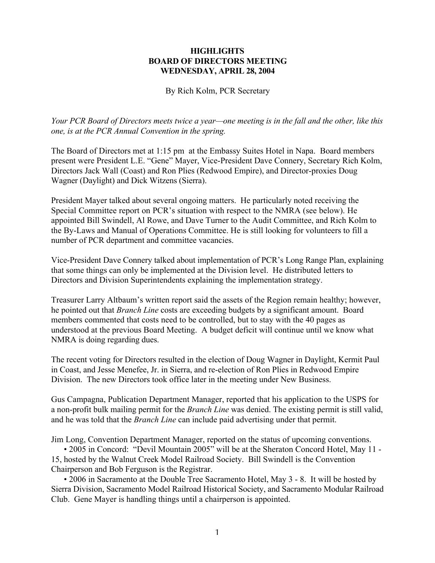## **HIGHLIGHTS BOARD OF DIRECTORS MEETING WEDNESDAY, APRIL 28, 2004**

## By Rich Kolm, PCR Secretary

*Your PCR Board of Directors meets twice a year—one meeting is in the fall and the other, like this one, is at the PCR Annual Convention in the spring.*

The Board of Directors met at 1:15 pm at the Embassy Suites Hotel in Napa. Board members present were President L.E. "Gene" Mayer, Vice-President Dave Connery, Secretary Rich Kolm, Directors Jack Wall (Coast) and Ron Plies (Redwood Empire), and Director-proxies Doug Wagner (Daylight) and Dick Witzens (Sierra).

President Mayer talked about several ongoing matters. He particularly noted receiving the Special Committee report on PCR's situation with respect to the NMRA (see below). He appointed Bill Swindell, Al Rowe, and Dave Turner to the Audit Committee, and Rich Kolm to the By-Laws and Manual of Operations Committee. He is still looking for volunteers to fill a number of PCR department and committee vacancies.

Vice-President Dave Connery talked about implementation of PCR's Long Range Plan, explaining that some things can only be implemented at the Division level. He distributed letters to Directors and Division Superintendents explaining the implementation strategy.

Treasurer Larry Altbaum's written report said the assets of the Region remain healthy; however, he pointed out that *Branch Line* costs are exceeding budgets by a significant amount. Board members commented that costs need to be controlled, but to stay with the 40 pages as understood at the previous Board Meeting. A budget deficit will continue until we know what NMRA is doing regarding dues.

The recent voting for Directors resulted in the election of Doug Wagner in Daylight, Kermit Paul in Coast, and Jesse Menefee, Jr. in Sierra, and re-election of Ron Plies in Redwood Empire Division. The new Directors took office later in the meeting under New Business.

Gus Campagna, Publication Department Manager, reported that his application to the USPS for a non-profit bulk mailing permit for the *Branch Line* was denied. The existing permit is still valid, and he was told that the *Branch Line* can include paid advertising under that permit.

Jim Long, Convention Department Manager, reported on the status of upcoming conventions.

• 2005 in Concord: "Devil Mountain 2005" will be at the Sheraton Concord Hotel, May 11 - 15, hosted by the Walnut Creek Model Railroad Society. Bill Swindell is the Convention Chairperson and Bob Ferguson is the Registrar.

• 2006 in Sacramento at the Double Tree Sacramento Hotel, May 3 - 8. It will be hosted by Sierra Division, Sacramento Model Railroad Historical Society, and Sacramento Modular Railroad Club. Gene Mayer is handling things until a chairperson is appointed.